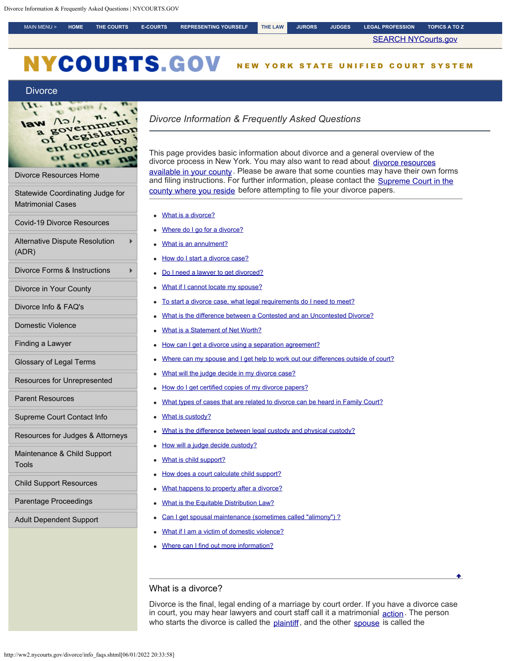<span id="page-0-0"></span>MAIN MENU > **[HOME](http://ww2.nycourts.gov/) [THE COURTS](http://www.nycourts.gov/courts/index.shtml) [E-COURTS](https://iapps.courts.state.ny.us/webcivil/ecourtsMain) [REPRESENTING YOURSELF](http://www.nycourts.gov/courthelp/) [THE LAW](http://www.nycourts.gov/law/) [JURORS](http://www.nyjuror.gov/index.shtml) [JUDGES](http://www.nycourts.gov/judges/) [LEGAL PROFESSION](http://www.nycourts.gov/attorneys/) [TOPICS A TO Z](http://www.nycourts.gov/topics/index.shtml)**

**[SEARCH NYCourts.gov](https://www.nycourts.gov/google/sitewide.shtml)** 

# **NYCOURTS.GOV** NEW YORK STATE UNIFIED COURT SYSTEM

## **[Divorce](http://ww2.nycourts.gov/divorce/index.shtml)**



[Divorce Resources Home](http://ww2.nycourts.gov/divorce/index.shtml)

[Statewide Coordinating Judge for](http://ww2.nycourts.gov/divorce/statewide_coord.shtml) [Matrimonial Cases](http://ww2.nycourts.gov/divorce/statewide_coord.shtml)

[Covid-19 Divorce Resources](http://ww2.nycourts.gov/divorce/Covid19DivorceResources.shtml)

[Alternative Dispute Resolution](https://www.nycourts.gov/ip/adr/Info_for_parties.shtml#divorce) [\(ADR\)](https://www.nycourts.gov/ip/adr/Info_for_parties.shtml#divorce)

[Divorce Forms & Instructions](http://ww2.nycourts.gov/divorce/forms.shtml)

[Divorce in Your County](http://ww2.nycourts.gov/divorce/county_specific_divorce_info.shtml)

[Divorce Info & FAQ's](#page-0-0)

[Domestic Violence](http://ww2.nycourts.gov/Admin/OPP/dv-idv/index.shtml)

[Finding a Lawyer](http://ww2.nycourts.gov/divorce/finding_a_lawyer.shtml)

[Glossary of Legal Terms](http://ww2.nycourts.gov/divorce/glossary.shtml)

[Resources for Unrepresented](http://ww2.nycourts.gov/divorce/unrepresented_help.shtml)

[Parent Resources](http://ww2.nycourts.gov/divorce/parent_resources.shtml)

[Supreme Court Contact Info](http://ww2.nycourts.gov/divorce/supreme_courts_by_county.shtml)

[Resources for Judges & Attorneys](http://ww2.nycourts.gov/divorce/attorney_resources.shtml)

[Maintenance & Child Support](http://ww2.nycourts.gov/divorce/MaintenanceChildSupportTools.shtml) [Tools](http://ww2.nycourts.gov/divorce/MaintenanceChildSupportTools.shtml)

[Child Support Resources](http://ww2.nycourts.gov/divorce/childsupport/index.shtml)

[Parentage Proceedings](http://ww2.nycourts.gov/divorce/ParentageProceedings.shtml)

<span id="page-0-1"></span>[Adult Dependent Support](http://ww2.nycourts.gov/adult-dependent-support-law-divorce-33836)

# *Divorce Information & Frequently Asked Questions*

This page provides basic information about divorce and a general overview of the divorce process in New York. You may also want to read about [divorce resources](http://ww2.nycourts.gov/divorce/county_specific_divorce_info.shtml) [available in your county](http://ww2.nycourts.gov/divorce/county_specific_divorce_info.shtml). Please be aware that some counties may have their own forms and filing instructions. For further information, please contact the [Supreme Court in the](http://ww2.nycourts.gov/divorce/supreme_courts_by_county.shtml) [county where you reside](http://ww2.nycourts.gov/divorce/supreme_courts_by_county.shtml) before attempting to file your divorce papers.

- [What is a divorce?](#page-0-1)
- [Where do I go for a divorce?](#page-1-0)
- [What is an annulment?](#page-1-1)
- [How do I start a divorce case?](#page-1-2)
- [Do I need a lawyer to get divorced?](#page-1-3)
- [What if I cannot locate my spouse?](#page-2-0)
- [To start a divorce case, what legal requirements do I need to meet?](#page-2-1)
- [What is the difference between a Contested and an Uncontested Divorce?](#page-2-2)
- [What is a Statement of Net Worth?](#page-3-0)
- [How can I get a divorce using a separation agreement?](#page-3-1)
- [Where can my spouse and I get help to work out our differences outside of court?](#page-3-2)
- [What will the judge decide in my divorce case?](#page-3-3)
- [How do I get certified copies of my divorce papers?](#page-3-4)
- [What types of cases that are related to divorce can be heard in Family Court?](#page-3-5)
- [What is custody?](#page-4-0)
- [What is the difference between legal custody and physical custody?](#page-4-1)
- [How will a judge decide custody?](#page-4-2)
- [What is child support?](#page-4-3)
- [How does a court calculate child support?](#page-4-4)
- [What happens to property after a divorce?](#page-5-0)
- [What is the Equitable Distribution Law?](#page-5-1)
- [Can I get spousal maintenance \(sometimes called "alimony"\) ?](#page-5-2)
- [What if I am a victim of domestic violence?](#page-5-3)
- [Where can I find out more information?](#page-5-4)

# What is a divorce?

Divorce is the final, legal ending of a marriage by court order. If you have a divorce case in court, you may hear lawyers and court staff call it a matrimonial [action](http://ww2.nycourts.gov/divorce/glossary.shtml#Action). The person who starts the divorce is called the [plaintiff](http://ww2.nycourts.gov/divorce/glossary.shtml#Plaintiff), and the other [spouse](http://ww2.nycourts.gov/divorce/glossary.shtml#Spouse) is called the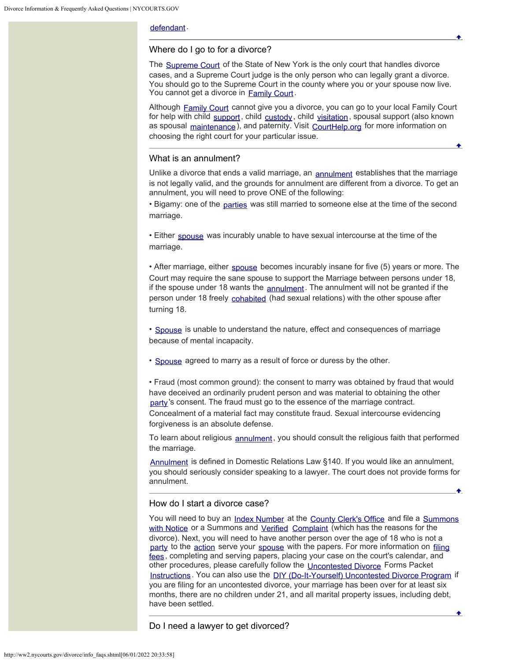# [defendant](http://ww2.nycourts.gov/divorce/glossary.shtml#Defendant).

## <span id="page-1-0"></span>Where do I go to for a divorce?

The [Supreme Court](http://ww2.nycourts.gov/divorce/glossary.shtml#Supreme_Court) of the State of New York is the only court that handles divorce cases, and a Supreme Court judge is the only person who can legally grant a divorce. You should go to the Supreme Court in the county where you or your spouse now live. You cannot get a divorce in [Family Court](http://ww2.nycourts.gov/divorce/glossary.shtml#Family_Court).

Although [Family Court](http://ww2.nycourts.gov/divorce/glossary.shtml#Family_Court) cannot give you a divorce, you can go to your local Family Court for help with child [support](http://ww2.nycourts.gov/divorce/glossary.shtml#Support), child [custody](http://ww2.nycourts.gov/divorce/glossary.shtml#Custody_Legal), child [visitation](http://ww2.nycourts.gov/divorce/glossary.shtml#Visitation), spousal support (also known as spousal [maintenance](http://ww2.nycourts.gov/divorce/glossary.shtml#Maintenance)), and paternity. Visit [CourtHelp.org](https://www.nycourts.gov/CourtHelp/Family/index.shtml) for more information on choosing the right court for your particular issue.

## <span id="page-1-1"></span>What is an annulment?

Unlike a divorce that ends a valid marriage, an [annulment](http://ww2.nycourts.gov/divorce/glossary.shtml#Annulment) establishes that the marriage is not legally valid, and the grounds for annulment are different from a divorce. To get an annulment, you will need to prove ONE of the following:

• Bigamy: one of the [parties](http://ww2.nycourts.gov/divorce/glossary.shtml#Party) was still married to someone else at the time of the second marriage.

• Either [spouse](http://ww2.nycourts.gov/divorce/glossary.shtml#Spouse) was incurably unable to have sexual intercourse at the time of the marriage.

• After marriage, either [spouse](http://ww2.nycourts.gov/divorce/glossary.shtml#Spouse) becomes incurably insane for five (5) years or more. The Court may require the sane spouse to support the Marriage between persons under 18, if the spouse under 18 wants the [annulment](http://ww2.nycourts.gov/divorce/glossary.shtml#Annulment). The annulment will not be granted if the person under 18 freely [cohabited](http://ww2.nycourts.gov/divorce/glossary.shtml#Cohabit) (had sexual relations) with the other spouse after turning 18.

• [Spouse](http://ww2.nycourts.gov/divorce/glossary.shtml#Spouse) is unable to understand the nature, effect and consequences of marriage because of mental incapacity.

• [Spouse](http://ww2.nycourts.gov/divorce/glossary.shtml#Spouse) agreed to marry as a result of force or duress by the other.

• Fraud (most common ground): the consent to marry was obtained by fraud that would have deceived an ordinarily prudent person and was material to obtaining the other [party](http://ww2.nycourts.gov/divorce/glossary.shtml#Party)'s consent. The fraud must go to the essence of the marriage contract. Concealment of a material fact may constitute fraud. Sexual intercourse evidencing forgiveness is an absolute defense.

To learn about religious [annulment](http://ww2.nycourts.gov/divorce/glossary.shtml#Annulment), you should consult the religious faith that performed the marriage.

[Annulment](http://ww2.nycourts.gov/divorce/glossary.shtml#Annulment) is defined in Domestic Relations Law §140. If you would like an annulment, you should seriously consider speaking to a lawyer. The court does not provide forms for annulment.

## <span id="page-1-2"></span>How do I start a divorce case?

You will need to buy an [Index Number](http://ww2.nycourts.gov/divorce/glossary.shtml#Index_Number) at the [County Clerk's Office](http://ww2.nycourts.gov/divorce/glossary.shtml#County_Clerks_Office) and file a [Summons](http://ww2.nycourts.gov/divorce/glossary.shtml#Summons_with_Notice) [with Notice](http://ww2.nycourts.gov/divorce/glossary.shtml#Summons_with_Notice) or a Summons and [Verified](http://ww2.nycourts.gov/divorce/glossary.shtml#Verified) [Complaint](http://ww2.nycourts.gov/divorce/glossary.shtml#Complaint) (which has the reasons for the divorce). Next, you will need to have another person over the age of 18 who is not a [party](http://ww2.nycourts.gov/divorce/glossary.shtml#Party) to the [action](http://ww2.nycourts.gov/divorce/glossary.shtml#Action) serve your [spouse](http://ww2.nycourts.gov/divorce/glossary.shtml#Spouse) with the papers. For more information on [filing](http://ww2.nycourts.gov/forms/index.shtml#1) [fees](http://ww2.nycourts.gov/forms/index.shtml#1), completing and serving papers, placing your case on the court's calendar, and other procedures, please carefully follow the [Uncontested Divorce](http://ww2.nycourts.gov/divorce/glossary.shtml#Uncontested_Divorce) Forms Packet [Instructions](http://ww2.nycourts.gov/divorce/pdfs/Divorce-Packet-Instructions.pdf). You can also use the [DIY \(Do-It-Yourself\) Uncontested Divorce Program](http://nycourthelp.gov/diy/divorce.shtml) if you are filing for an uncontested divorce, your marriage has been over for at least six months, there are no children under 21, and all marital property issues, including debt, have been settled.

Do I need a lawyer to get divorced?

<span id="page-1-3"></span>http://ww2.nycourts.gov/divorce/info\_faqs.shtml[06/01/2022 20:33:58]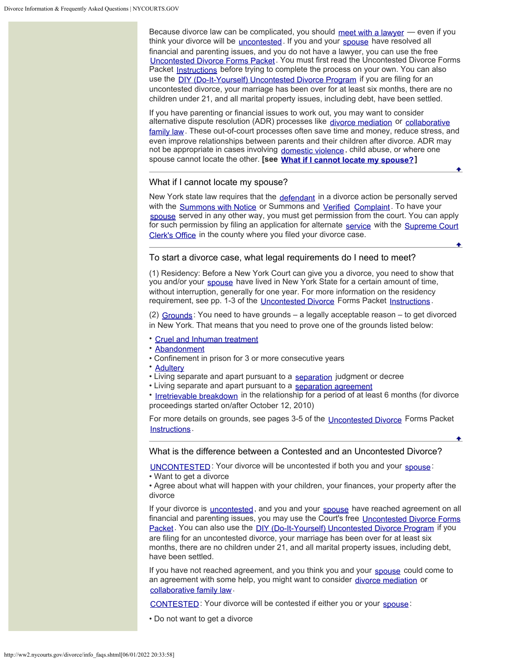Because divorce law can be complicated, you should [meet with a lawyer](http://ww2.nycourts.gov/divorce/finding_a_lawyer.shtml)  $-$  even if you think your divorce will be [uncontested](http://ww2.nycourts.gov/divorce/glossary.shtml#Uncontested_Divorce). If you and your [spouse](http://ww2.nycourts.gov/divorce/glossary.shtml#Spouse) have resolved all financial and parenting issues, and you do not have a lawyer, you can use the free [Uncontested Divorce Forms Packet](http://ww2.nycourts.gov/divorce/divorce_withchildrenunder21.shtml#ucdforms). You must first read the Uncontested Divorce Forms Packet [Instructions](http://ww2.nycourts.gov/divorce/pdfs/Divorce-Packet-Instructions.pdf) before trying to complete the process on your own. You can also use the [DIY \(Do-It-Yourself\) Uncontested Divorce Program](http://nycourthelp.gov/diy/divorce.shtml) if you are filing for an uncontested divorce, your marriage has been over for at least six months, there are no children under 21, and all marital property issues, including debt, have been settled.

If you have parenting or financial issues to work out, you may want to consider alternative dispute resolution (ADR) processes like [divorce mediation](http://ww2.nycourts.gov/ip/adr/divorcemediation.shtml) or [collaborative](http://ww2.nycourts.gov/ip/collablaw/index.shtml) [family law](http://ww2.nycourts.gov/ip/collablaw/index.shtml). These out-of-court processes often save time and money, reduce stress, and even improve relationships between parents and their children after divorce. ADR may not be appropriate in cases involving [domestic violence](https://www.nycourts.gov/topics/domesticViolence.shtml), child abuse, or where one spouse cannot locate the other. **[see [What if I cannot locate my spouse?](#page-2-0)]**

## <span id="page-2-0"></span>What if I cannot locate my spouse?

New York state law requires that the [defendant](http://ww2.nycourts.gov/divorce/glossary.shtml#Defendant) in a divorce action be personally served with the [Summons with Notice](http://ww2.nycourts.gov/divorce/glossary.shtml#Summons_with_Notice) or Summons and [Verified](http://ww2.nycourts.gov/divorce/glossary.shtml#Verified) [Complaint](http://ww2.nycourts.gov/divorce/glossary.shtml#Complaint). To have your [spouse](http://ww2.nycourts.gov/divorce/glossary.shtml#Spouse) served in any other way, you must get permission from the court. You can apply for such permission by filing an application for alternate [service](http://ww2.nycourts.gov/divorce/glossary.shtml#Service) with the [Supreme Court](http://ww2.nycourts.gov/divorce/glossary.shtml#Supreme_Court_Clerks_Office) [Clerk's Office](http://ww2.nycourts.gov/divorce/glossary.shtml#Supreme_Court_Clerks_Office) in the county where you filed your divorce case.

# <span id="page-2-1"></span>To start a divorce case, what legal requirements do I need to meet?

(1) Residency: Before a New York Court can give you a divorce, you need to show that you and/or your [spouse](http://ww2.nycourts.gov/divorce/glossary.shtml#Spouse) have lived in New York State for a certain amount of time, without interruption, generally for one year. For more information on the residency requirement, see pp. 1-3 of the [Uncontested Divorce](http://ww2.nycourts.gov/divorce/glossary.shtml#Uncontested_Divorce) Forms Packet [Instructions](http://ww2.nycourts.gov/divorce/pdfs/Divorce-Packet-Instructions.pdf).

(2) [Grounds](http://ww2.nycourts.gov/divorce/glossary.shtml#Grounds) : You need to have grounds – a legally acceptable reason – to get divorced in New York. That means that you need to prove one of the grounds listed below:

- [Cruel and Inhuman treatment](http://ww2.nycourts.gov/divorce/glossary.shtml#Cruel_and_Inhuman_Treatment)
- [Abandonment](http://ww2.nycourts.gov/divorce/glossary.shtml#Abandonment)
- Confinement in prison for 3 or more consecutive years
- [Adultery](http://ww2.nycourts.gov/divorce/glossary.shtml#Adultery)
- Living separate and apart pursuant to a [separation](http://ww2.nycourts.gov/divorce/glossary.shtml#Separation) judgment or decree
- Living separate and apart pursuant to a [separation agreement](http://ww2.nycourts.gov/divorce/glossary.shtml#Separation_Agreement)

• [Irretrievable breakdown](http://ww2.nycourts.gov/divorce/glossary.shtml#IrretrievableBreakdown) in the relationship for a period of at least 6 months (for divorce proceedings started on/after October 12, 2010)

For more details on grounds, see pages 3-5 of the [Uncontested Divorce](http://ww2.nycourts.gov/divorce/glossary.shtml#Uncontested_Divorce) Forms Packet [Instructions](http://ww2.nycourts.gov/divorce/pdfs/Divorce-Packet-Instructions.pdf) .

### <span id="page-2-2"></span>What is the difference between a Contested and an Uncontested Divorce?

[UNCONTESTED](http://ww2.nycourts.gov/divorce/glossary.shtml#Uncontested_Divorce): Your divorce will be uncontested if both you and your [spouse](http://ww2.nycourts.gov/divorce/glossary.shtml#Spouse):

• Want to get a divorce

• Agree about what will happen with your children, your finances, your property after the divorce

If your divorce is *[uncontested](http://ww2.nycourts.gov/divorce/glossary.shtml#Uncontested_Divorce)*, and you and your [spouse](http://ww2.nycourts.gov/divorce/glossary.shtml#Spouse) have reached agreement on all financial and parenting issues, you may use the Court's free [Uncontested Divorce Forms](http://ww2.nycourts.gov/divorce/divorce_withchildrenunder21.shtml#ucdforms) [Packet](http://ww2.nycourts.gov/divorce/divorce_withchildrenunder21.shtml#ucdforms). You can also use the [DIY \(Do-It-Yourself\) Uncontested Divorce Program](http://nycourthelp.gov/diy/divorce.shtml) if you are filing for an uncontested divorce, your marriage has been over for at least six months, there are no children under 21, and all marital property issues, including debt, have been settled.

If you have not reached agreement, and you think you and your [spouse](http://ww2.nycourts.gov/divorce/glossary.shtml#Spouse) could come to an agreement with some help, you might want to consider [divorce mediation](http://ww2.nycourts.gov/ip/adr/divorcemediation.shtml) or [collaborative family law](http://ww2.nycourts.gov/ip/collablaw/index.shtml).

[CONTESTED](http://ww2.nycourts.gov/divorce/glossary.shtml#Contested_Divorce): Your divorce will be contested if either you or your [spouse](http://ww2.nycourts.gov/divorce/glossary.shtml#Spouse):

• Do not want to get a divorce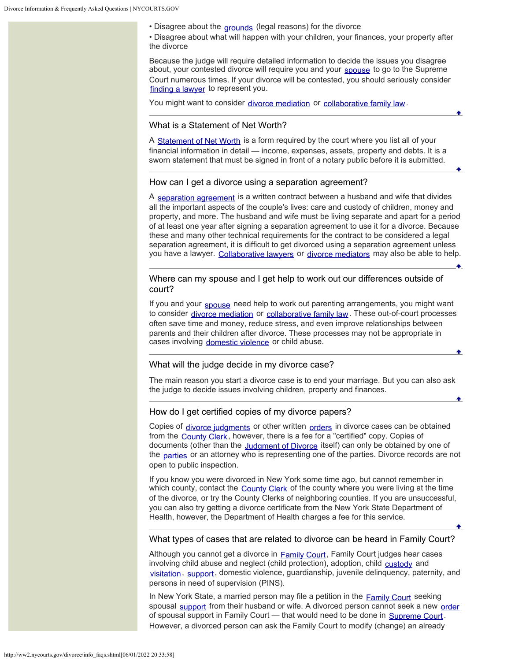• Disagree about the **[grounds](http://ww2.nycourts.gov/divorce/glossary.shtml#Grounds)** (legal reasons) for the divorce

• Disagree about what will happen with your children, your finances, your property after the divorce

Because the judge will require detailed information to decide the issues you disagree about, your contested divorce will require you and your [spouse](http://ww2.nycourts.gov/divorce/glossary.shtml#Spouse) to go to the Supreme Court numerous times. If your divorce will be contested, you should seriously consider [finding a lawyer](http://ww2.nycourts.gov/divorce/finding_a_lawyer.shtml) to represent you.

You might want to consider [divorce mediation](http://ww2.nycourts.gov/ip/adr/divorcemediation.shtml) or [collaborative family law](http://ww2.nycourts.gov/ip/collablaw/index.shtml).

## <span id="page-3-0"></span>What is a Statement of Net Worth?

A [Statement of Net Worth](https://www.nycourts.gov/LegacyPDFS/forms/matrimonial/networth.pdf) is a form required by the court where you list all of your financial information in detail — income, expenses, assets, property and debts. It is a sworn statement that must be signed in front of a notary public before it is submitted.

#### <span id="page-3-1"></span>How can I get a divorce using a separation agreement?

A [separation agreement](http://ww2.nycourts.gov/divorce/glossary.shtml#Separation_Agreement) is a written contract between a husband and wife that divides all the important aspects of the couple's lives: care and custody of children, money and property, and more. The husband and wife must be living separate and apart for a period of at least one year after signing a separation agreement to use it for a divorce. Because these and many other technical requirements for the contract to be considered a legal separation agreement, it is difficult to get divorced using a separation agreement unless you have a lawyer. [Collaborative lawyers](http://ww2.nycourts.gov/ip/collablaw/index.shtml) or [divorce mediators](http://ww2.nycourts.gov/ip/adr/divorcemediation.shtml) may also be able to help.

<span id="page-3-2"></span>Where can my spouse and I get help to work out our differences outside of court?

If you and your [spouse](http://ww2.nycourts.gov/divorce/glossary.shtml#Spouse) need help to work out parenting arrangements, you might want to consider [divorce mediation](http://ww2.nycourts.gov/ip/adr/divorcemediation.shtml) or [collaborative family law](http://ww2.nycourts.gov/ip/collablaw/index.shtml). These out-of-court processes often save time and money, reduce stress, and even improve relationships between parents and their children after divorce. These processes may not be appropriate in cases involving [domestic violence](https://www.nycourts.gov/topics/domesticViolence.shtml) or child abuse.

#### <span id="page-3-3"></span>What will the judge decide in my divorce case?

The main reason you start a divorce case is to end your marriage. But you can also ask the judge to decide issues involving children, property and finances.

## <span id="page-3-4"></span>How do I get certified copies of my divorce papers?

Copies of [divorce judgments](http://ww2.nycourts.gov/divorce/glossary.shtml#Judgment_of_Divorce) or other written [orders](http://ww2.nycourts.gov/divorce/glossary.shtml#Order) in divorce cases can be obtained from the [County Clerk](http://ww2.nycourts.gov/divorce/glossary.shtml#County_Clerks_Office), however, there is a fee for a "certified" copy. Copies of documents (other than the [Judgment of Divorce](http://ww2.nycourts.gov/divorce/glossary.shtml#Judgment_of_Divorce) itself) can only be obtained by one of the [parties](http://ww2.nycourts.gov/divorce/glossary.shtml#Party) or an attorney who is representing one of the parties. Divorce records are not open to public inspection.

If you know you were divorced in New York some time ago, but cannot remember in which county, contact the [County Clerk](http://ww2.nycourts.gov/divorce/glossary.shtml#County_Clerks_Office) of the county where you were living at the time of the divorce, or try the County Clerks of neighboring counties. If you are unsuccessful, you can also try getting a divorce certificate from the New York State Department of Health, however, the Department of Health charges a fee for this service.

#### <span id="page-3-5"></span>What types of cases that are related to divorce can be heard in Family Court?

Although you cannot get a divorce in [Family Court](http://ww2.nycourts.gov/divorce/glossary.shtml#Family_Court), Family Court judges hear cases involving child abuse and neglect (child protection), adoption, child [custody](http://ww2.nycourts.gov/divorce/glossary.shtml#Custody_Legal) and [visitation](http://ww2.nycourts.gov/divorce/glossary.shtml#Visitation), [support](http://ww2.nycourts.gov/divorce/glossary.shtml#Support), domestic violence, guardianship, juvenile delinquency, paternity, and persons in need of supervision (PINS).

In New York State, a married person may file a petition in the **[Family Court](http://ww2.nycourts.gov/divorce/glossary.shtml#Family_Court)** seeking spousal [support](http://ww2.nycourts.gov/divorce/glossary.shtml#Support) from their husband or wife. A divorced person cannot seek a new [order](http://ww2.nycourts.gov/divorce/glossary.shtml#Order) of spousal support in Family Court - that would need to be done in [Supreme Court](http://ww2.nycourts.gov/divorce/glossary.shtml#Supreme_Court). However, a divorced person can ask the Family Court to modify (change) an already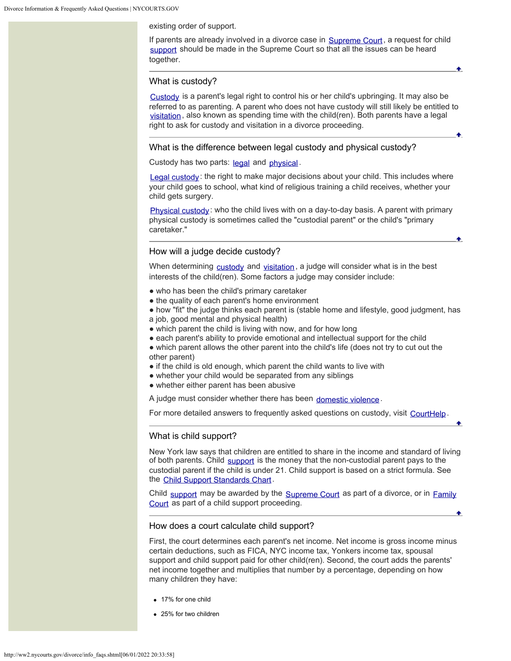existing order of support.

If parents are already involved in a divorce case in [Supreme Court](http://ww2.nycourts.gov/divorce/glossary.shtml#Supreme_Court), a request for child [support](http://ww2.nycourts.gov/divorce/glossary.shtml#Support) should be made in the Supreme Court so that all the issues can be heard together.

٠

#### <span id="page-4-0"></span>What is custody?

[Custody](http://ww2.nycourts.gov/divorce/glossary.shtml#Custody_Legal) is a parent's legal right to control his or her child's upbringing. It may also be referred to as parenting. A parent who does not have custody will still likely be entitled to [visitation](http://ww2.nycourts.gov/divorce/glossary.shtml#Visitation), also known as spending time with the child(ren). Both parents have a legal right to ask for custody and visitation in a divorce proceeding.

## <span id="page-4-1"></span>What is the difference between legal custody and physical custody?

Custody has two parts: [legal](http://ww2.nycourts.gov/divorce/glossary.shtml#Custody_Legal) and [physical](http://ww2.nycourts.gov/divorce/glossary.shtml#Custody_Physical).

[Legal custody](http://ww2.nycourts.gov/divorce/glossary.shtml#Custody_Legal): the right to make major decisions about your child. This includes where your child goes to school, what kind of religious training a child receives, whether your child gets surgery.

[Physical custody](http://ww2.nycourts.gov/divorce/glossary.shtml#Custody_Physical): who the child lives with on a day-to-day basis. A parent with primary physical custody is sometimes called the "custodial parent" or the child's "primary caretaker."

# <span id="page-4-2"></span>How will a judge decide custody?

When determining [custody](http://ww2.nycourts.gov/divorce/glossary.shtml#Custody_Legal) and [visitation](http://ww2.nycourts.gov/divorce/glossary.shtml#Visitation), a judge will consider what is in the best interests of the child(ren). Some factors a judge may consider include:

- who has been the child's primary caretaker
- the quality of each parent's home environment
- how "fit" the judge thinks each parent is (stable home and lifestyle, good judgment, has a job, good mental and physical health)
- which parent the child is living with now, and for how long
- each parent's ability to provide emotional and intellectual support for the child

• which parent allows the other parent into the child's life (does not try to cut out the other parent)

- if the child is old enough, which parent the child wants to live with
- whether your child would be separated from any siblings
- whether either parent has been abusive

A judge must consider whether there has been [domestic violence](https://www.nycourts.gov/topics/domesticViolence.shtml).

For more detailed answers to frequently asked questions on custody, visit [CourtHelp](https://www.nycourts.gov/courthelp/Family/divorceChildren.shtml).

## <span id="page-4-3"></span>What is child support?

New York law says that children are entitled to share in the income and standard of living of both parents. Child [support](http://ww2.nycourts.gov/divorce/glossary.shtml#Support) is the money that the non-custodial parent pays to the custodial parent if the child is under 21. Child support is based on a strict formula. See the [Child Support Standards Chart](https://www.newyorkchildsupport.com/child_support_standards.html).

Child [support](http://ww2.nycourts.gov/divorce/glossary.shtml#Support) may be awarded by the [Supreme Court](http://ww2.nycourts.gov/divorce/glossary.shtml#Supreme_Court) as part of a divorce, or in [Family](http://ww2.nycourts.gov/divorce/glossary.shtml#Family_Court) [Court](http://ww2.nycourts.gov/divorce/glossary.shtml#Family_Court) as part of a child support proceeding.

## <span id="page-4-4"></span>How does a court calculate child support?

First, the court determines each parent's net income. Net income is gross income minus certain deductions, such as FICA, NYC income tax, Yonkers income tax, spousal support and child support paid for other child(ren). Second, the court adds the parents' net income together and multiplies that number by a percentage, depending on how many children they have:

- 17% for one child
- 25% for two children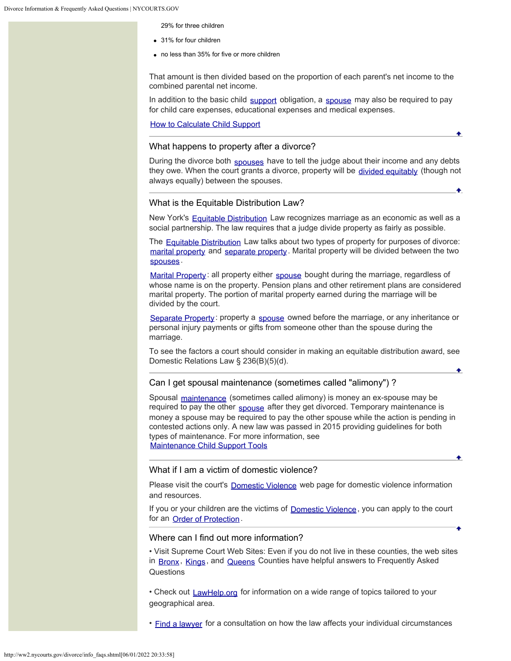29% for three children

- 31% for four children
- no less than 35% for five or more children

That amount is then divided based on the proportion of each parent's net income to the combined parental net income.

In addition to the basic child [support](http://ww2.nycourts.gov/divorce/glossary.shtml#Support) obligation, a [spouse](http://ww2.nycourts.gov/divorce/glossary.shtml#Spouse) may also be required to pay for child care expenses, educational expenses and medical expenses.

[How to Calculate Child Support](http://ww2.nycourts.gov/divorce/pdfs/NYSBA_ChildSupport_DetermingAmount.pdf)

## <span id="page-5-0"></span>What happens to property after a divorce?

During the divorce both [spouses](http://ww2.nycourts.gov/divorce/glossary.shtml#Spouse) have to tell the judge about their income and any debts they owe. When the court grants a divorce, property will be [divided equitably](http://ww2.nycourts.gov/divorce/glossary.shtml#Equitable_Distribution) (though not always equally) between the spouses.

٠

### <span id="page-5-1"></span>What is the Equitable Distribution Law?

New York's [Equitable Distribution](http://ww2.nycourts.gov/divorce/glossary.shtml#Equitable_Distribution) Law recognizes marriage as an economic as well as a social partnership. The law requires that a judge divide property as fairly as possible.

The [Equitable Distribution](http://ww2.nycourts.gov/divorce/glossary.shtml#Equitable_Distribution) Law talks about two types of property for purposes of divorce: [marital property](http://ww2.nycourts.gov/divorce/glossary.shtml#Marital_Property) and [separate property](http://ww2.nycourts.gov/divorce/glossary.shtml#Separate_Property). Marital property will be divided between the two [spouses](http://ww2.nycourts.gov/divorce/glossary.shtml#Spouse) .

[Marital Property](http://ww2.nycourts.gov/divorce/glossary.shtml#Marital_Property): all property either [spouse](http://ww2.nycourts.gov/divorce/glossary.shtml#Spouse) bought during the marriage, regardless of whose name is on the property. Pension plans and other retirement plans are considered marital property. The portion of marital property earned during the marriage will be divided by the court.

[Separate Property](http://ww2.nycourts.gov/divorce/glossary.shtml#Separate_Property): property a [spouse](http://ww2.nycourts.gov/divorce/glossary.shtml#Spouse) owned before the marriage, or any inheritance or personal injury payments or gifts from someone other than the spouse during the marriage.

To see the factors a court should consider in making an equitable distribution award, see Domestic Relations Law § 236(B)(5)(d).

## <span id="page-5-2"></span>Can I get spousal maintenance (sometimes called "alimony") ?

Spousal [maintenance](http://ww2.nycourts.gov/divorce/glossary.shtml#Maintenance) (sometimes called alimony) is money an ex-spouse may be required to pay the other [spouse](http://ww2.nycourts.gov/divorce/glossary.shtml#Spouse) after they get divorced. Temporary maintenance is money a spouse may be required to pay the other spouse while the action is pending in contested actions only. A new law was passed in 2015 providing guidelines for both types of maintenance. For more information, see [Maintenance Child Support Tools](http://ww2.nycourts.gov/divorce/MaintenanceChildSupportTools.shtml)

## <span id="page-5-3"></span>What if I am a victim of domestic violence?

Please visit the court's **[Domestic Violence](https://www.nycourts.gov/topics/domesticViolence.shtml)** web page for domestic violence information and resources.

If you or your children are the victims of **[Domestic Violence](https://www.nycourts.gov/topics/domesticViolence.shtml)**, you can apply to the court for an [Order of Protection](http://ww2.nycourts.gov/divorce/glossary.shtml#Order_of_Protection).

## Where can I find out more information?

<span id="page-5-4"></span>• Visit Supreme Court Web Sites: Even if you do not live in these counties, the web sites in [Bronx](http://www.nycourts.gov/COURTS/12jd/BRONX/Civil/matrimonial_faq.shtml), [Kings](https://www.nycourts.gov/courts/2jd/kings/civil/matrimonial.shtml), and [Queens](https://www.nycourts.gov/courts/11jd/supreme/civilterm/civil_matfaq.shtml) Counties have helpful answers to Frequently Asked **Questions** 

• Check out [LawHelp.org](http://www.lawhelp.org/NY/StateSubTopics.cfm/County/%20/City/%20/demoMode/=%201/Language/1/State/NY/TextOnly/N/ZipCode/%20/LoggedIn/0/iTopicID/278/sTopicImage/familyjuvenile.gif/bAllState/0) for information on a wide range of topics tailored to your geographical area.

• [Find a lawyer](http://ww2.nycourts.gov/divorce/finding_a_lawyer.shtml) for a consultation on how the law affects your individual circumstances